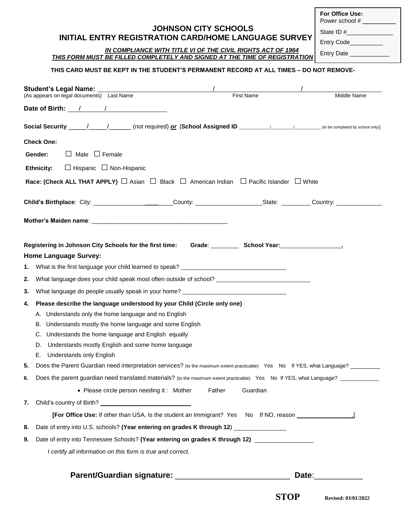## **JOHNSON CITY SCHOOLS INITIAL ENTRY REGISTRATION CARD/HOME LANGUAGE SURVEY**

 *IN COMPLIANCE WITH TITLE VI OF THE CIVIL RIGHTS ACT OF 1964 THIS FORM MUST BE FILLED COMPLETELY AND SIGNED AT THE TIME OF REGISTRATION*

**For Office Use:** Power school #

State  $ID$  # $\_\_$ 

Entry Code\_\_\_\_\_\_

Entry Date \_\_\_\_\_\_

## **THIS CARD MUST BE KEPT IN THE STUDENT'S PERMANENT RECORD AT ALL TIMES – DO NOT REMOVE-**

|    | <b>Student's Legal Name:</b><br>(As appears on legal documents) Last Name                                                         |        | <b>First Name</b>                | Middle Name                                                                                                                   |
|----|-----------------------------------------------------------------------------------------------------------------------------------|--------|----------------------------------|-------------------------------------------------------------------------------------------------------------------------------|
|    | Date of Birth: 1 / 1                                                                                                              |        |                                  |                                                                                                                               |
|    |                                                                                                                                   |        |                                  |                                                                                                                               |
|    | <b>Check One:</b>                                                                                                                 |        |                                  |                                                                                                                               |
|    | $\Box$ Male $\Box$ Female<br>Gender:                                                                                              |        |                                  |                                                                                                                               |
|    | $\Box$ Hispanic $\Box$ Non-Hispanic<br><b>Ethnicity:</b>                                                                          |        |                                  |                                                                                                                               |
|    | <b>Race: (Check ALL THAT APPLY)</b> $\Box$ Asian $\Box$ Black $\Box$ American Indian $\Box$ Pacific Islander $\Box$ White         |        |                                  |                                                                                                                               |
|    | Child's Birthplace: City: __________________________County: __________________________________Country: _______                    |        |                                  |                                                                                                                               |
|    |                                                                                                                                   |        |                                  |                                                                                                                               |
|    | Registering in Johnson City Schools for the first time:<br><b>Home Language Survey:</b>                                           |        | Grade: School Year: School Year: |                                                                                                                               |
| 1. | What is the first language your child learned to speak? ________________________                                                  |        |                                  |                                                                                                                               |
| 2. | What language does your child speak most often outside of school? __________________________________                              |        |                                  |                                                                                                                               |
| 3. | What language do people usually speak in your home? ____________________________                                                  |        |                                  |                                                                                                                               |
| 4. | Please describe the language understood by your Child (Circle only one)                                                           |        |                                  |                                                                                                                               |
|    | Understands only the home language and no English<br>А.                                                                           |        |                                  |                                                                                                                               |
|    | B. Understands mostly the home language and some English                                                                          |        |                                  |                                                                                                                               |
|    | Understands the home language and English equally<br>C.                                                                           |        |                                  |                                                                                                                               |
|    | Understands mostly English and some home language<br>D.                                                                           |        |                                  |                                                                                                                               |
|    | E. Understands only English                                                                                                       |        |                                  |                                                                                                                               |
| 5. | Does the Parent Guardian need interpretation services? (to the maximum extent practicable) Yes No If YES, what Language? ________ |        |                                  |                                                                                                                               |
| 6. | Does the parent guardian need translated materials? (to the maximum extent practicable) Yes No If YES, what Language? ___________ |        |                                  |                                                                                                                               |
|    | • Please circle person needing it: Mother                                                                                         | Father | Guardian                         |                                                                                                                               |
| 7. |                                                                                                                                   |        |                                  |                                                                                                                               |
|    | [For Office Use: If other than USA, Is the student an Immigrant? Yes No If NO, reason _____________                               |        |                                  |                                                                                                                               |
| 8. | Date of entry into U.S. schools? (Year entering on grades K through 12) ______________                                            |        |                                  |                                                                                                                               |
| 9. | Date of entry into Tennessee Schools? (Year entering on grades K through 12) _______________                                      |        |                                  |                                                                                                                               |
|    | I certify all information on this form is true and correct.                                                                       |        |                                  |                                                                                                                               |
|    |                                                                                                                                   |        |                                  | Date: <u>Date:</u>                                                                                                            |
|    |                                                                                                                                   |        |                                  | $\mathbf{C}\mathbf{T}\mathbf{\Omega}\mathbf{D}$ $\mathbf{R}$ $\mathbf{R}$ $\mathbf{R}$ $\mathbf{R}$ $\mathbf{R}$ $\mathbf{R}$ |